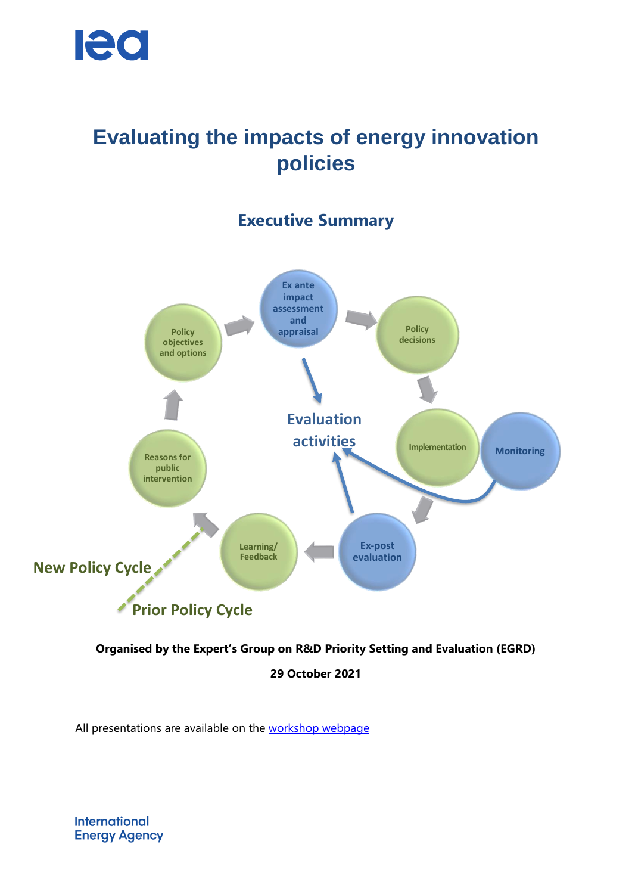

# **Evaluating the impacts of energy innovation policies**

# **Executive Summary**



#### **Organised by the Expert's Group on R&D Priority Setting and Evaluation (EGRD)**

**29 October 2021**

All presentations are available on the [workshop webpage](https://www.iea.org/events/evaluating-the-impacts-of-energy-innovation-policies)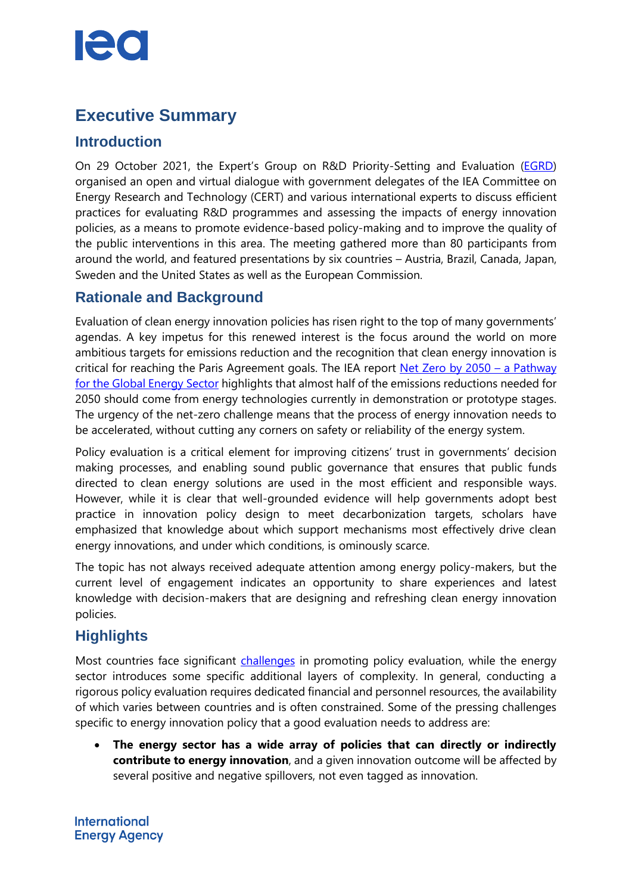# **Executive Summary**

## **Introduction**

On 29 October 2021, the Expert's Group on R&D Priority-Setting and Evaluation [\(EGRD\)](https://userstcp.org/iea-egrd) organised an open and virtual dialogue with government delegates of the IEA Committee on Energy Research and Technology (CERT) and various international experts to discuss efficient practices for evaluating R&D programmes and assessing the impacts of energy innovation policies, as a means to promote evidence-based policy-making and to improve the quality of the public interventions in this area. The meeting gathered more than 80 participants from around the world, and featured presentations by six countries – Austria, Brazil, Canada, Japan, Sweden and the United States as well as the European Commission.

## **Rationale and Background**

Evaluation of clean energy innovation policies has risen right to the top of many governments' agendas. A key impetus for this renewed interest is the focus around the world on more ambitious targets for emissions reduction and the recognition that clean energy innovation is critical for reaching the Paris Agreement goals. The IEA report [Net Zero by 2050](https://www.iea.org/reports/net-zero-by-2050) – a Pathway [for the Global Energy Sector](https://www.iea.org/reports/net-zero-by-2050) highlights that almost half of the emissions reductions needed for 2050 should come from energy technologies currently in demonstration or prototype stages. The urgency of the net-zero challenge means that the process of energy innovation needs to be accelerated, without cutting any corners on safety or reliability of the energy system.

Policy evaluation is a critical element for improving citizens' trust in governments' decision making processes, and enabling sound public governance that ensures that public funds directed to clean energy solutions are used in the most efficient and responsible ways. However, while it is clear that well-grounded evidence will help governments adopt best practice in innovation policy design to meet decarbonization targets, scholars have emphasized that knowledge about which support mechanisms most effectively drive clean energy innovations, and under which conditions, is ominously scarce.

The topic has not always received adequate attention among energy policy-makers, but the current level of engagement indicates an opportunity to share experiences and latest knowledge with decision-makers that are designing and refreshing clean energy innovation policies.

# **Highlights**

Most countries face significant [challenges](https://www.oecd.org/gov/policy-evaluation-comparative-study-highlights.pdf) in promoting policy evaluation, while the energy sector introduces some specific additional layers of complexity. In general, conducting a rigorous policy evaluation requires dedicated financial and personnel resources, the availability of which varies between countries and is often constrained. Some of the pressing challenges specific to energy innovation policy that a good evaluation needs to address are:

 **The energy sector has a wide array of policies that can directly or indirectly contribute to energy innovation**, and a given innovation outcome will be affected by several positive and negative spillovers, not even tagged as innovation.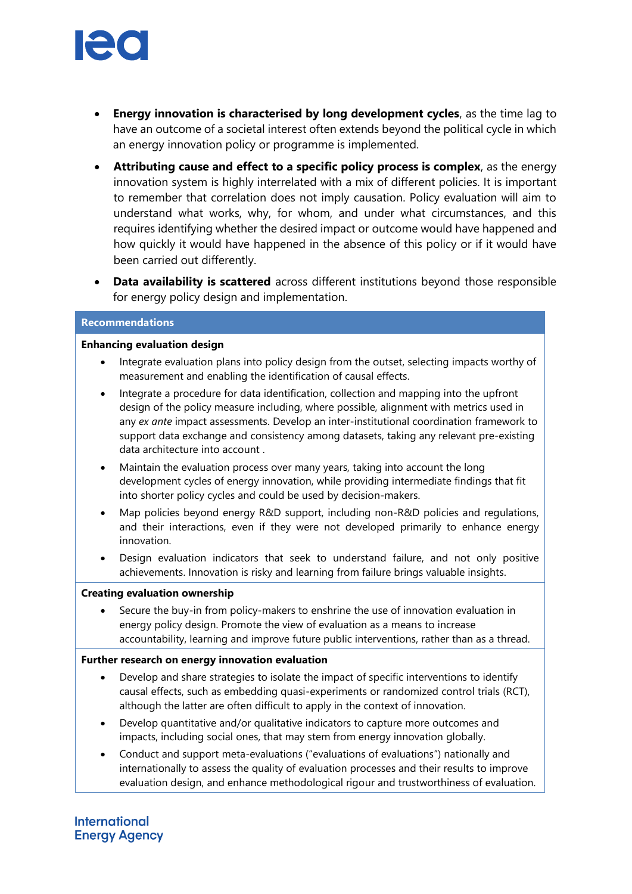

- **Energy innovation is characterised by long development cycles**, as the time lag to have an outcome of a societal interest often extends beyond the political cycle in which an energy innovation policy or programme is implemented.
- **Attributing cause and effect to a specific policy process is complex**, as the energy innovation system is highly interrelated with a mix of different policies. It is important to remember that correlation does not imply causation. Policy evaluation will aim to understand what works, why, for whom, and under what circumstances, and this requires identifying whether the desired impact or outcome would have happened and how quickly it would have happened in the absence of this policy or if it would have been carried out differently.
- **Data availability is scattered** across different institutions beyond those responsible for energy policy design and implementation.

#### **Recommendations**

#### **Enhancing evaluation design**

- Integrate evaluation plans into policy design from the outset, selecting impacts worthy of measurement and enabling the identification of causal effects.
- Integrate a procedure for data identification, collection and mapping into the upfront design of the policy measure including, where possible, alignment with metrics used in any *ex ante* impact assessments. Develop an inter-institutional coordination framework to support data exchange and consistency among datasets, taking any relevant pre-existing data architecture into account .
- Maintain the evaluation process over many years, taking into account the long development cycles of energy innovation, while providing intermediate findings that fit into shorter policy cycles and could be used by decision-makers.
- Map policies beyond energy R&D support, including non-R&D policies and regulations, and their interactions, even if they were not developed primarily to enhance energy innovation.
- Design evaluation indicators that seek to understand failure, and not only positive achievements. Innovation is risky and learning from failure brings valuable insights.

#### **Creating evaluation ownership**

 Secure the buy-in from policy-makers to enshrine the use of innovation evaluation in energy policy design. Promote the view of evaluation as a means to increase accountability, learning and improve future public interventions, rather than as a thread.

#### **Further research on energy innovation evaluation**

- Develop and share strategies to isolate the impact of specific interventions to identify causal effects, such as embedding quasi-experiments or randomized control trials (RCT), although the latter are often difficult to apply in the context of innovation.
- Develop quantitative and/or qualitative indicators to capture more outcomes and impacts, including social ones, that may stem from energy innovation globally.
- Conduct and support meta-evaluations ("evaluations of evaluations") nationally and internationally to assess the quality of evaluation processes and their results to improve evaluation design, and enhance methodological rigour and trustworthiness of evaluation.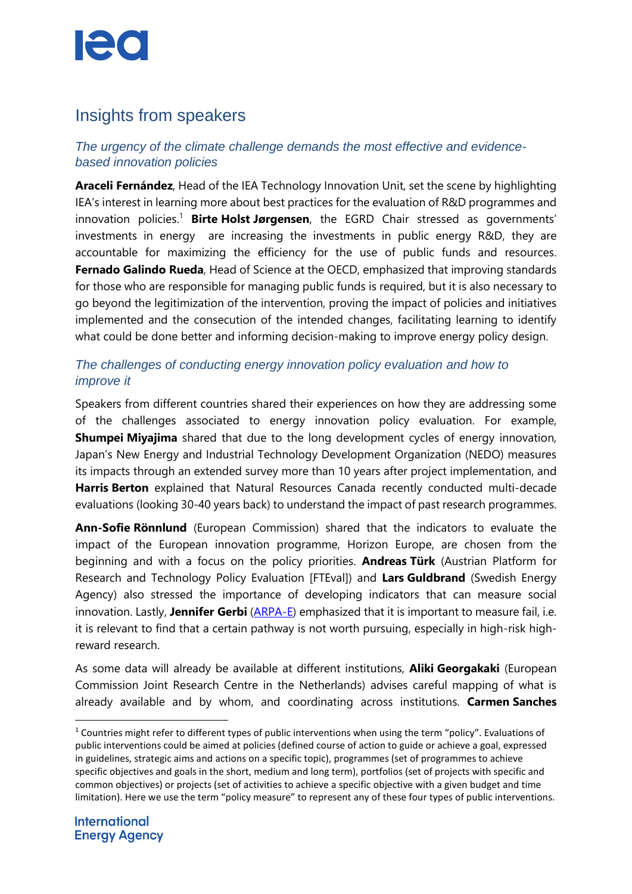# $\blacksquare$

# Insights from speakers

## *The urgency of the climate challenge demands the most effective and evidencebased innovation policies*

**Araceli Fernández**, Head of the IEA Technology Innovation Unit, set the scene by highlighting IEA's interest in learning more about best practices for the evaluation of R&D programmes and innovation policies. <sup>1</sup> **Birte Holst Jørgensen**, the EGRD Chair stressed as governments' investments in energy are increasing the investments in public energy R&D, they are accountable for maximizing the efficiency for the use of public funds and resources. **Fernado Galindo Rueda**, Head of Science at the OECD, emphasized that improving standards for those who are responsible for managing public funds is required, but it is also necessary to go beyond the legitimization of the intervention, proving the impact of policies and initiatives implemented and the consecution of the intended changes, facilitating learning to identify what could be done better and informing decision-making to improve energy policy design.

## *The challenges of conducting energy innovation policy evaluation and how to improve it*

Speakers from different countries shared their experiences on how they are addressing some of the challenges associated to energy innovation policy evaluation. For example, **Shumpei Miyajima** shared that due to the long development cycles of energy innovation, Japan's New Energy and Industrial Technology Development Organization (NEDO) measures its impacts through an extended survey more than 10 years after project implementation, and **Harris Berton** explained that Natural Resources Canada recently conducted multi-decade evaluations (looking 30-40 years back) to understand the impact of past research programmes.

**Ann-Sofie Rönnlund** (European Commission) shared that the indicators to evaluate the impact of the European innovation programme, Horizon Europe, are chosen from the beginning and with a focus on the policy priorities. **Andreas Türk** (Austrian Platform for Research and Technology Policy Evaluation [FTEval]) and **Lars Guldbrand** (Swedish Energy Agency) also stressed the importance of developing indicators that can measure social innovation. Lastly, **Jennifer Gerbi** [\(ARPA-E\)](https://arpa-e.energy.gov/) emphasized that it is important to measure fail, i.e. it is relevant to find that a certain pathway is not worth pursuing, especially in high-risk highreward research.

As some data will already be available at different institutions, **Aliki Georgakaki** (European Commission Joint Research Centre in the Netherlands) advises careful mapping of what is already available and by whom, and coordinating across institutions. **Carmen Sanches**

l

 $1$  Countries might refer to different types of public interventions when using the term "policy". Evaluations of public interventions could be aimed at policies (defined course of action to guide or achieve a goal, expressed in guidelines, strategic aims and actions on a specific topic), programmes (set of programmes to achieve specific objectives and goals in the short, medium and long term), portfolios (set of projects with specific and common objectives) or projects (set of activities to achieve a specific objective with a given budget and time limitation). Here we use the term "policy measure" to represent any of these four types of public interventions.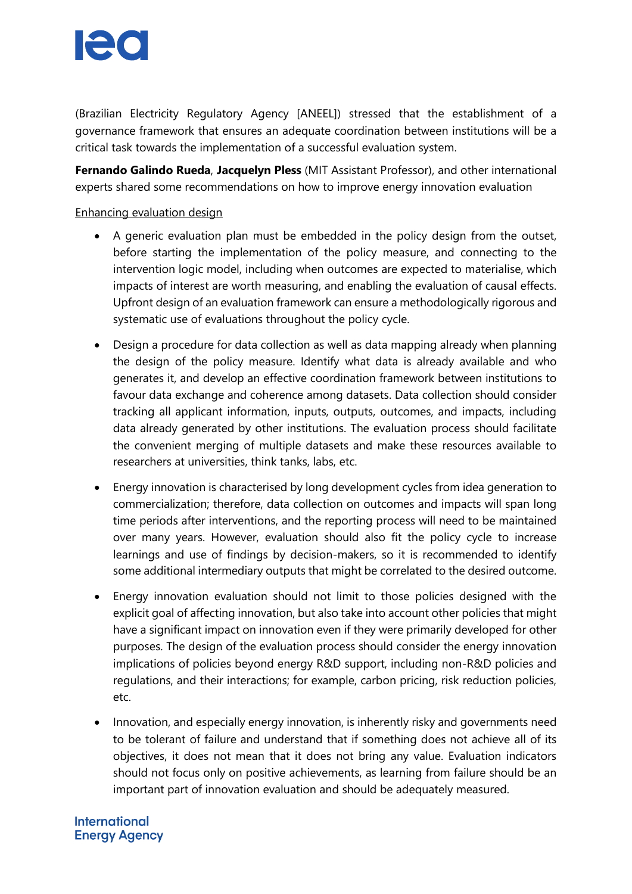

(Brazilian Electricity Regulatory Agency [ANEEL]) stressed that the establishment of a governance framework that ensures an adequate coordination between institutions will be a critical task towards the implementation of a successful evaluation system.

**Fernando Galindo Rueda**, **Jacquelyn Pless** (MIT Assistant Professor), and other international experts shared some recommendations on how to improve energy innovation evaluation

#### Enhancing evaluation design

- A generic evaluation plan must be embedded in the policy design from the outset, before starting the implementation of the policy measure, and connecting to the intervention logic model, including when outcomes are expected to materialise, which impacts of interest are worth measuring, and enabling the evaluation of causal effects. Upfront design of an evaluation framework can ensure a methodologically rigorous and systematic use of evaluations throughout the policy cycle.
- Design a procedure for data collection as well as data mapping already when planning the design of the policy measure. Identify what data is already available and who generates it, and develop an effective coordination framework between institutions to favour data exchange and coherence among datasets. Data collection should consider tracking all applicant information, inputs, outputs, outcomes, and impacts, including data already generated by other institutions. The evaluation process should facilitate the convenient merging of multiple datasets and make these resources available to researchers at universities, think tanks, labs, etc.
- Energy innovation is characterised by long development cycles from idea generation to commercialization; therefore, data collection on outcomes and impacts will span long time periods after interventions, and the reporting process will need to be maintained over many years. However, evaluation should also fit the policy cycle to increase learnings and use of findings by decision-makers, so it is recommended to identify some additional intermediary outputs that might be correlated to the desired outcome.
- Energy innovation evaluation should not limit to those policies designed with the explicit goal of affecting innovation, but also take into account other policies that might have a significant impact on innovation even if they were primarily developed for other purposes. The design of the evaluation process should consider the energy innovation implications of policies beyond energy R&D support, including non-R&D policies and regulations, and their interactions; for example, carbon pricing, risk reduction policies, etc.
- Innovation, and especially energy innovation, is inherently risky and governments need to be tolerant of failure and understand that if something does not achieve all of its objectives, it does not mean that it does not bring any value. Evaluation indicators should not focus only on positive achievements, as learning from failure should be an important part of innovation evaluation and should be adequately measured.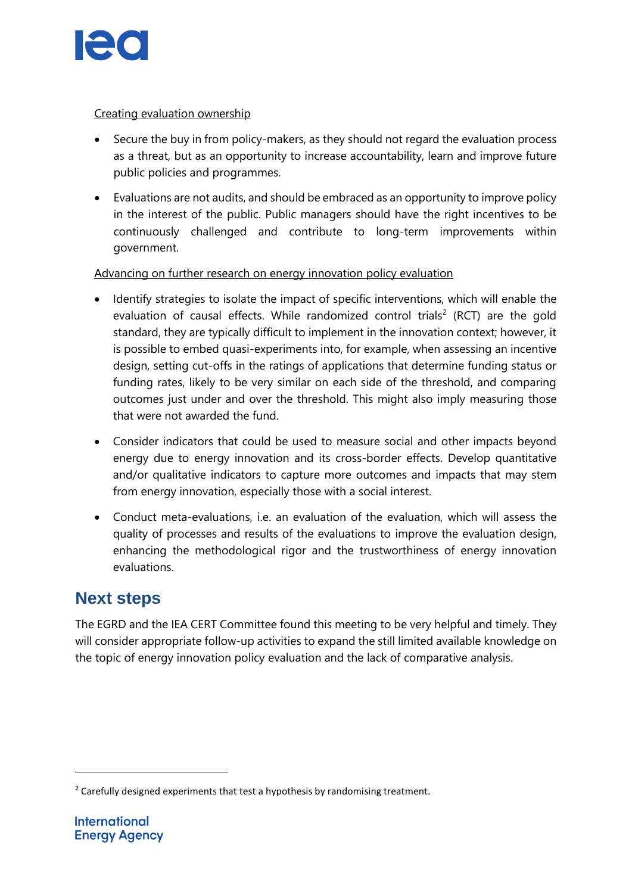

#### Creating evaluation ownership

- Secure the buy in from policy-makers, as they should not regard the evaluation process as a threat, but as an opportunity to increase accountability, learn and improve future public policies and programmes.
- Evaluations are not audits, and should be embraced as an opportunity to improve policy in the interest of the public. Public managers should have the right incentives to be continuously challenged and contribute to long-term improvements within government.

#### Advancing on further research on energy innovation policy evaluation

- Identify strategies to isolate the impact of specific interventions, which will enable the evaluation of causal effects. While randomized control trials<sup>2</sup> (RCT) are the gold standard, they are typically difficult to implement in the innovation context; however, it is possible to embed quasi-experiments into, for example, when assessing an incentive design, setting cut-offs in the ratings of applications that determine funding status or funding rates, likely to be very similar on each side of the threshold, and comparing outcomes just under and over the threshold. This might also imply measuring those that were not awarded the fund.
- Consider indicators that could be used to measure social and other impacts beyond energy due to energy innovation and its cross-border effects. Develop quantitative and/or qualitative indicators to capture more outcomes and impacts that may stem from energy innovation, especially those with a social interest.
- Conduct meta-evaluations, i.e. an evaluation of the evaluation, which will assess the quality of processes and results of the evaluations to improve the evaluation design, enhancing the methodological rigor and the trustworthiness of energy innovation evaluations.

# **Next steps**

The EGRD and the IEA CERT Committee found this meeting to be very helpful and timely. They will consider appropriate follow-up activities to expand the still limited available knowledge on the topic of energy innovation policy evaluation and the lack of comparative analysis.

 $\overline{a}$ 

 $2$  Carefully designed experiments that test a hypothesis by randomising treatment.